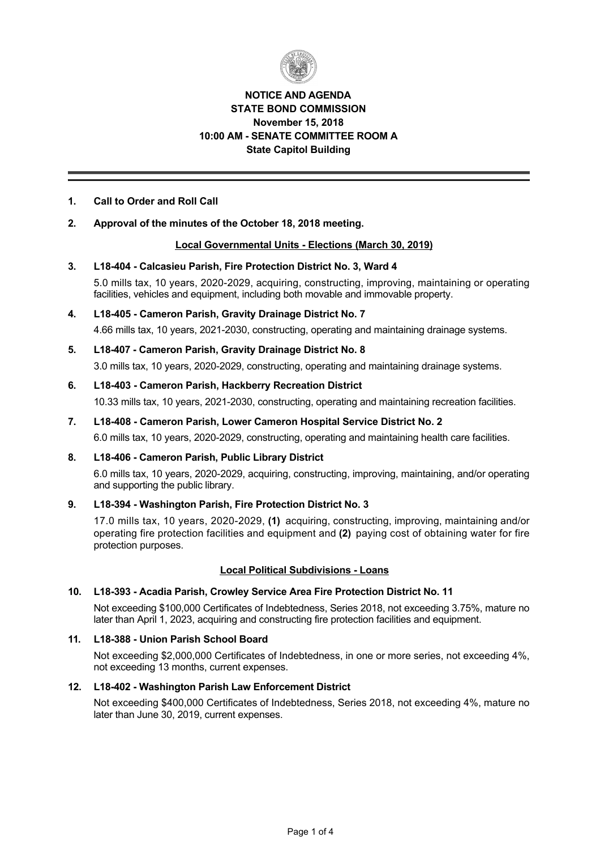

# **NOTICE AND AGENDA STATE BOND COMMISSION November 15, 2018 10:00 AM SENATE COMMITTEE ROOM A State Capitol Building**

# **1. Call to Order and Roll Call**

# **2. Approval of the minutes of the October 18, 2018 meeting.**

## **Local Governmental Units Elections (March 30, 2019)**

#### **3. L18404 Calcasieu Parish, Fire Protection District No. 3, Ward 4**

5.0 mills tax, 10 years, 2020-2029, acquiring, constructing, improving, maintaining or operating facilities, vehicles and equipment, including both movable and immovable property.

# **4. L18405 Cameron Parish, Gravity Drainage District No. 7**

4.66 mills tax, 10 years, 2021-2030, constructing, operating and maintaining drainage systems.

# **5. L18407 Cameron Parish, Gravity Drainage District No. 8**

3.0 mills tax, 10 years, 2020-2029, constructing, operating and maintaining drainage systems.

## **6. L18403 Cameron Parish, Hackberry Recreation District**

10.33 mills tax, 10 years, 2021-2030, constructing, operating and maintaining recreation facilities.

#### **7. L18408 Cameron Parish, Lower Cameron Hospital Service District No. 2**

6.0 mills tax, 10 years, 2020-2029, constructing, operating and maintaining health care facilities.

# **8. L18406 Cameron Parish, Public Library District**

6.0 mills tax, 10 years, 2020-2029, acquiring, constructing, improving, maintaining, and/or operating and supporting the public library.

# **9. L18394 Washington Parish, Fire Protection District No. 3**

17.0 mills tax, 10 years, 2020-2029, (1) acquiring, constructing, improving, maintaining and/or operating fire protection facilities and equipment and **(2)** paying cost of obtaining water for fire protection purposes.

# **Local Political Subdivisions Loans**

## **10. L18393 Acadia Parish, Crowley Service Area Fire Protection District No. 11**

Not exceeding \$100,000 Certificates of Indebtedness, Series 2018, not exceeding 3.75%, mature no later than April 1, 2023, acquiring and constructing fire protection facilities and equipment.

# **11. L18388 Union Parish School Board**

Not exceeding \$2,000,000 Certificates of Indebtedness, in one or more series, not exceeding 4%, not exceeding 13 months, current expenses.

## **12. L18402 Washington Parish Law Enforcement District**

Not exceeding \$400,000 Certificates of Indebtedness, Series 2018, not exceeding 4%, mature no later than June 30, 2019, current expenses.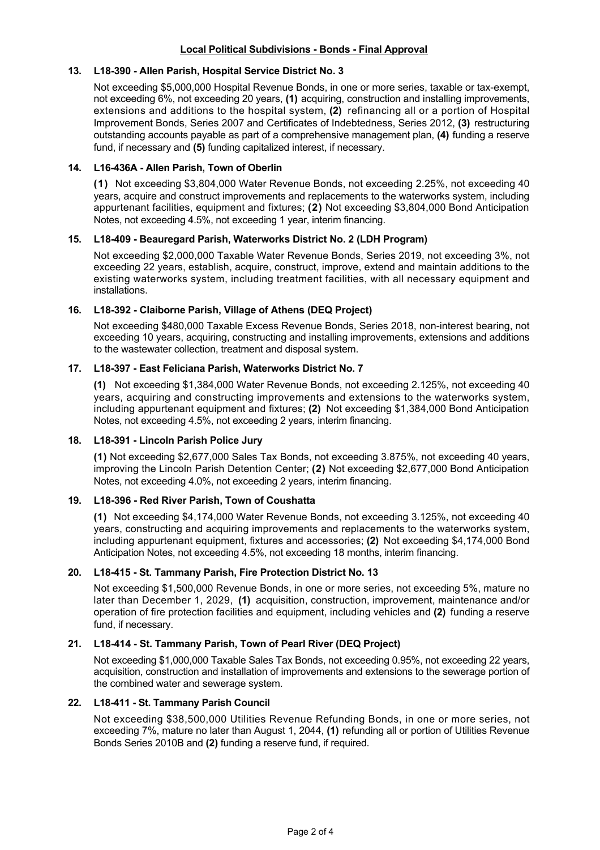## **Local Political Subdivisions - Bonds - Final Approval**

#### **13. L18390 Allen Parish, Hospital Service District No. 3**

Not exceeding \$5,000,000 Hospital Revenue Bonds, in one or more series, taxable or tax-exempt, not exceeding 6%, not exceeding 20 years, **(1)** acquiring, construction and installing improvements, extensions and additions to the hospital system, **(2)** refinancing all or a portion of Hospital Improvement Bonds, Series 2007 and Certificates of Indebtedness, Series 2012, **(3)** restructuring outstanding accounts payable as part of a comprehensive management plan, **(4)** funding a reserve fund, if necessary and **(5)** funding capitalized interest, if necessary.

#### **14. L16436A Allen Parish, Town of Oberlin**

**(1)** Not exceeding \$3,804,000 Water Revenue Bonds, not exceeding 2.25%, not exceeding 40 years, acquire and construct improvements and replacements to the waterworks system, including appurtenant facilities, equipment and fixtures; **(2)** Not exceeding \$3,804,000 Bond Anticipation Notes, not exceeding 4.5%, not exceeding 1 year, interim financing.

## **15. L18409 Beauregard Parish, Waterworks District No. 2 (LDH Program)**

Not exceeding \$2,000,000 Taxable Water Revenue Bonds, Series 2019, not exceeding 3%, not exceeding 22 years, establish, acquire, construct, improve, extend and maintain additions to the existing waterworks system, including treatment facilities, with all necessary equipment and installations.

#### **16. L18392 Claiborne Parish, Village of Athens (DEQ Project)**

Not exceeding \$480,000 Taxable Excess Revenue Bonds, Series 2018, noninterest bearing, not exceeding 10 years, acquiring, constructing and installing improvements, extensions and additions to the wastewater collection, treatment and disposal system.

#### **17. L18397 East Feliciana Parish, Waterworks District No. 7**

**(1)** Not exceeding \$1,384,000 Water Revenue Bonds, not exceeding 2.125%, not exceeding 40 years, acquiring and constructing improvements and extensions to the waterworks system, including appurtenant equipment and fixtures; **(2)** Not exceeding \$1,384,000 Bond Anticipation Notes, not exceeding 4.5%, not exceeding 2 years, interim financing.

#### **18. L18391 Lincoln Parish Police Jury**

**(1)** Not exceeding \$2,677,000 Sales Tax Bonds, not exceeding 3.875%, not exceeding 40 years, improving the Lincoln Parish Detention Center; **(2)** Not exceeding \$2,677,000 Bond Anticipation Notes, not exceeding 4.0%, not exceeding 2 years, interim financing.

## **19. L18396 Red River Parish, Town of Coushatta**

**(1)**  Not exceeding \$4,174,000 Water Revenue Bonds, not exceeding 3.125%, not exceeding 40 years, constructing and acquiring improvements and replacements to the waterworks system, including appurtenant equipment, fixtures and accessories; **(2)** Not exceeding \$4,174,000 Bond Anticipation Notes, not exceeding 4.5%, not exceeding 18 months, interim financing.

## **20. L18415 St. Tammany Parish, Fire Protection District No. 13**

Not exceeding \$1,500,000 Revenue Bonds, in one or more series, not exceeding 5%, mature no later than December 1, 2029, **(1)** acquisition, construction, improvement, maintenance and/or operation of fire protection facilities and equipment, including vehicles and **(2)** funding a reserve fund, if necessary.

#### **21. L18414 St. Tammany Parish, Town of Pearl River (DEQ Project)**

Not exceeding \$1,000,000 Taxable Sales Tax Bonds, not exceeding 0.95%, not exceeding 22 years, acquisition, construction and installation of improvements and extensions to the sewerage portion of the combined water and sewerage system.

#### **22. L18411 St. Tammany Parish Council**

Not exceeding \$38,500,000 Utilities Revenue Refunding Bonds, in one or more series, not exceeding 7%, mature no later than August 1, 2044, **(1)** refunding all or portion of Utilities Revenue Bonds Series 2010B and **(2)** funding a reserve fund, if required.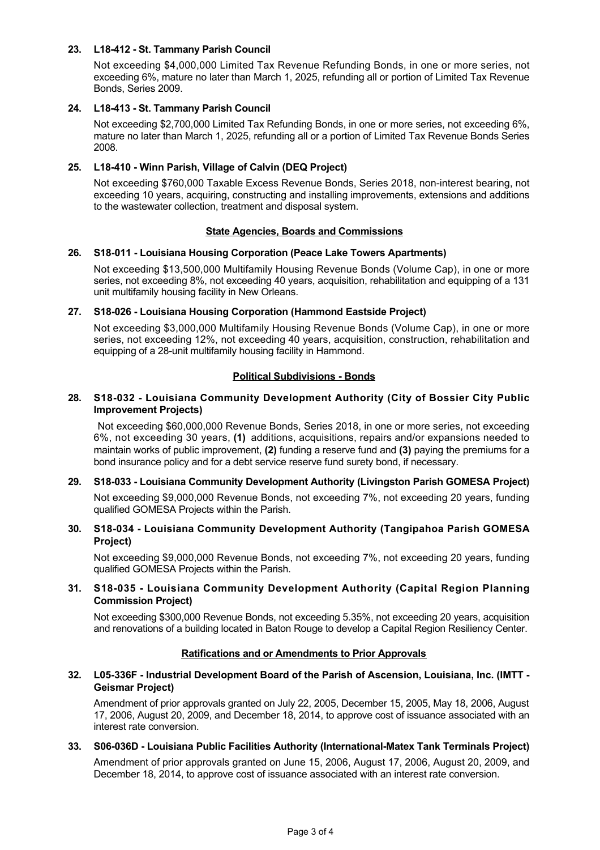# **23. L18412 St. Tammany Parish Council**

Not exceeding \$4,000,000 Limited Tax Revenue Refunding Bonds, in one or more series, not exceeding 6%, mature no later than March 1, 2025, refunding all or portion of Limited Tax Revenue Bonds, Series 2009.

#### **24. L18413 St. Tammany Parish Council**

Not exceeding \$2,700,000 Limited Tax Refunding Bonds, in one or more series, not exceeding 6%, mature no later than March 1, 2025, refunding all or a portion of Limited Tax Revenue Bonds Series 2008.

## **25. L18410 Winn Parish, Village of Calvin (DEQ Project)**

Not exceeding \$760,000 Taxable Excess Revenue Bonds, Series 2018, non-interest bearing, not exceeding 10 years, acquiring, constructing and installing improvements, extensions and additions to the wastewater collection, treatment and disposal system.

#### **State Agencies, Boards and Commissions**

#### **26. S18011 Louisiana Housing Corporation (Peace Lake Towers Apartments)**

Not exceeding \$13,500,000 Multifamily Housing Revenue Bonds (Volume Cap), in one or more series, not exceeding 8%, not exceeding 40 years, acquisition, rehabilitation and equipping of a 131 unit multifamily housing facility in New Orleans.

#### **27. S18026 Louisiana Housing Corporation (Hammond Eastside Project)**

Not exceeding \$3,000,000 Multifamily Housing Revenue Bonds (Volume Cap), in one or more series, not exceeding 12%, not exceeding 40 years, acquisition, construction, rehabilitation and equipping of a 28-unit multifamily housing facility in Hammond.

#### **Political Subdivisions - Bonds**

#### **28. S18032 Louisiana Community Development Authority (City of Bossier City Public Improvement Projects)**

Not exceeding \$60,000,000 Revenue Bonds, Series 2018, in one or more series, not exceeding 6%, not exceeding 30 years, **(1)** additions, acquisitions, repairs and/or expansions needed to maintain works of public improvement, **(2)** funding a reserve fund and **(3)** paying the premiums for a bond insurance policy and for a debt service reserve fund surety bond, if necessary.

## **29. S18033 Louisiana Community Development Authority (Livingston Parish GOMESA Project)**

Not exceeding \$9,000,000 Revenue Bonds, not exceeding 7%, not exceeding 20 years, funding qualified GOMESA Projects within the Parish.

#### **30. S18034 Louisiana Community Development Authority (Tangipahoa Parish GOMESA Project)**

Not exceeding \$9,000,000 Revenue Bonds, not exceeding 7%, not exceeding 20 years, funding qualified GOMESA Projects within the Parish.

#### **31. S18035 Louisiana Community Development Authority (Capital Region Planning Commission Project)**

Not exceeding \$300,000 Revenue Bonds, not exceeding 5.35%, not exceeding 20 years, acquisition and renovations of a building located in Baton Rouge to develop a Capital Region Resiliency Center.

#### **Ratifications and or Amendments to Prior Approvals**

#### **32. L05336F Industrial Development Board of the Parish of Ascension, Louisiana, Inc. (IMTT Geismar Project)**

Amendment of prior approvals granted on July 22, 2005, December 15, 2005, May 18, 2006, August 17, 2006, August 20, 2009, and December 18, 2014, to approve cost of issuance associated with an interest rate conversion.

# **33. S06-036D - Louisiana Public Facilities Authority (International-Matex Tank Terminals Project)** Amendment of prior approvals granted on June 15, 2006, August 17, 2006, August 20, 2009, and December 18, 2014, to approve cost of issuance associated with an interest rate conversion.